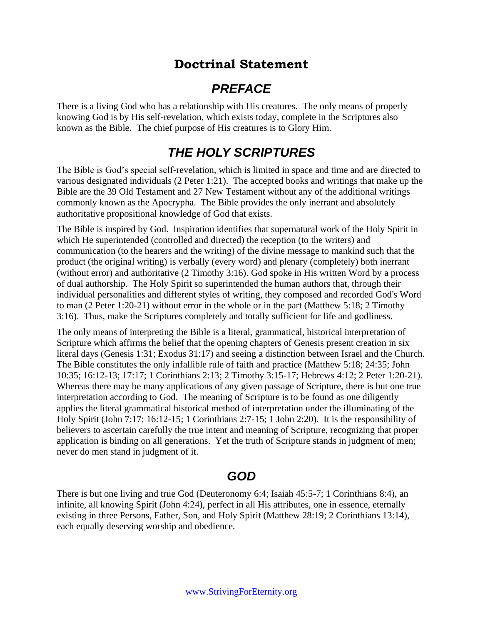# **Doctrinal Statement**

# *PREFACE*

There is a living God who has a relationship with His creatures. The only means of properly knowing God is by His self-revelation, which exists today, complete in the Scriptures also known as the Bible. The chief purpose of His creatures is to Glory Him.

# *THE HOLY SCRIPTURES*

The Bible is God's special self-revelation, which is limited in space and time and are directed to various designated individuals (2 Peter 1:21). The accepted books and writings that make up the Bible are the 39 Old Testament and 27 New Testament without any of the additional writings commonly known as the Apocrypha. The Bible provides the only inerrant and absolutely authoritative propositional knowledge of God that exists.

The Bible is inspired by God. Inspiration identifies that supernatural work of the Holy Spirit in which He superintended (controlled and directed) the reception (to the writers) and communication (to the hearers and the writing) of the divine message to mankind such that the product (the original writing) is verbally (every word) and plenary (completely) both inerrant (without error) and authoritative (2 Timothy 3:16). God spoke in His written Word by a process of dual authorship. The Holy Spirit so superintended the human authors that, through their individual personalities and different styles of writing, they composed and recorded God's Word to man (2 Peter 1:20-21) without error in the whole or in the part (Matthew 5:18; 2 Timothy 3:16). Thus, make the Scriptures completely and totally sufficient for life and godliness.

The only means of interpreting the Bible is a literal, grammatical, historical interpretation of Scripture which affirms the belief that the opening chapters of Genesis present creation in six literal days (Genesis 1:31; Exodus 31:17) and seeing a distinction between Israel and the Church. The Bible constitutes the only infallible rule of faith and practice (Matthew 5:18; 24:35; John 10:35; 16:12-13; 17:17; 1 Corinthians 2:13; 2 Timothy 3:15-17; Hebrews 4:12; 2 Peter 1:20-21). Whereas there may be many applications of any given passage of Scripture, there is but one true interpretation according to God. The meaning of Scripture is to be found as one diligently applies the literal grammatical historical method of interpretation under the illuminating of the Holy Spirit (John 7:17; 16:12-15; 1 Corinthians 2:7-15; 1 John 2:20). It is the responsibility of believers to ascertain carefully the true intent and meaning of Scripture, recognizing that proper application is binding on all generations. Yet the truth of Scripture stands in judgment of men; never do men stand in judgment of it.

# *GOD*

There is but one living and true God (Deuteronomy 6:4; Isaiah 45:5-7; 1 Corinthians 8:4), an infinite, all knowing Spirit (John 4:24), perfect in all His attributes, one in essence, eternally existing in three Persons, Father, Son, and Holy Spirit (Matthew 28:19; 2 Corinthians 13:14), each equally deserving worship and obedience.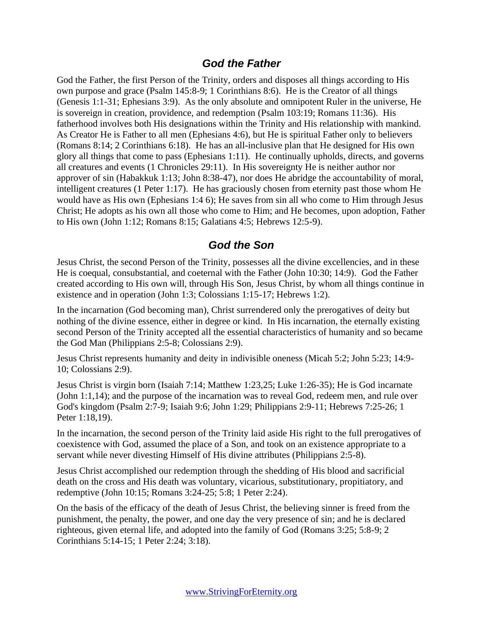#### *God the Father*

God the Father, the first Person of the Trinity, orders and disposes all things according to His own purpose and grace (Psalm 145:8-9; 1 Corinthians 8:6). He is the Creator of all things (Genesis 1:1-31; Ephesians 3:9). As the only absolute and omnipotent Ruler in the universe, He is sovereign in creation, providence, and redemption (Psalm 103:19; Romans 11:36). His fatherhood involves both His designations within the Trinity and His relationship with mankind. As Creator He is Father to all men (Ephesians 4:6), but He is spiritual Father only to believers (Romans 8:14; 2 Corinthians 6:18). He has an all-inclusive plan that He designed for His own glory all things that come to pass (Ephesians 1:11). He continually upholds, directs, and governs all creatures and events (1 Chronicles 29:11). In His sovereignty He is neither author nor approver of sin (Habakkuk 1:13; John 8:38-47), nor does He abridge the accountability of moral, intelligent creatures (1 Peter 1:17). He has graciously chosen from eternity past those whom He would have as His own (Ephesians 1:4 6); He saves from sin all who come to Him through Jesus Christ; He adopts as his own all those who come to Him; and He becomes, upon adoption, Father to His own (John 1:12; Romans 8:15; Galatians 4:5; Hebrews 12:5-9).

#### *God the Son*

Jesus Christ, the second Person of the Trinity, possesses all the divine excellencies, and in these He is coequal, consubstantial, and coeternal with the Father (John 10:30; 14:9). God the Father created according to His own will, through His Son, Jesus Christ, by whom all things continue in existence and in operation (John 1:3; Colossians 1:15-17; Hebrews 1:2).

In the incarnation (God becoming man), Christ surrendered only the prerogatives of deity but nothing of the divine essence, either in degree or kind. In His incarnation, the eternally existing second Person of the Trinity accepted all the essential characteristics of humanity and so became the God Man (Philippians 2:5-8; Colossians 2:9).

Jesus Christ represents humanity and deity in indivisible oneness (Micah 5:2; John 5:23; 14:9- 10; Colossians 2:9).

Jesus Christ is virgin born (Isaiah 7:14; Matthew 1:23,25; Luke 1:26-35); He is God incarnate (John 1:1,14); and the purpose of the incarnation was to reveal God, redeem men, and rule over God's kingdom (Psalm 2:7-9; Isaiah 9:6; John 1:29; Philippians 2:9-11; Hebrews 7:25-26; 1 Peter 1:18,19).

In the incarnation, the second person of the Trinity laid aside His right to the full prerogatives of coexistence with God, assumed the place of a Son, and took on an existence appropriate to a servant while never divesting Himself of His divine attributes (Philippians 2:5-8).

Jesus Christ accomplished our redemption through the shedding of His blood and sacrificial death on the cross and His death was voluntary, vicarious, substitutionary, propitiatory, and redemptive (John 10:15; Romans 3:24-25; 5:8; 1 Peter 2:24).

On the basis of the efficacy of the death of Jesus Christ, the believing sinner is freed from the punishment, the penalty, the power, and one day the very presence of sin; and he is declared righteous, given eternal life, and adopted into the family of God (Romans 3:25; 5:8-9; 2 Corinthians 5:14-15; 1 Peter 2:24; 3:18).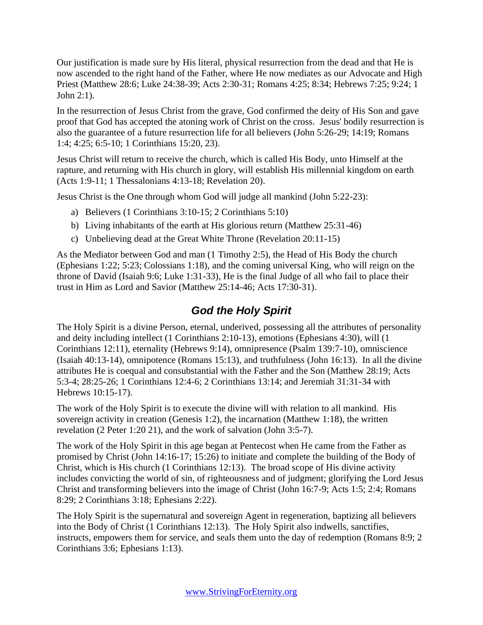Our justification is made sure by His literal, physical resurrection from the dead and that He is now ascended to the right hand of the Father, where He now mediates as our Advocate and High Priest (Matthew 28:6; Luke 24:38-39; Acts 2:30-31; Romans 4:25; 8:34; Hebrews 7:25; 9:24; 1 John 2:1).

In the resurrection of Jesus Christ from the grave, God confirmed the deity of His Son and gave proof that God has accepted the atoning work of Christ on the cross. Jesus' bodily resurrection is also the guarantee of a future resurrection life for all believers (John 5:26-29; 14:19; Romans 1:4; 4:25; 6:5-10; 1 Corinthians 15:20, 23).

Jesus Christ will return to receive the church, which is called His Body, unto Himself at the rapture, and returning with His church in glory, will establish His millennial kingdom on earth (Acts 1:9-11; 1 Thessalonians 4:13-18; Revelation 20).

Jesus Christ is the One through whom God will judge all mankind (John 5:22-23):

- a) Believers (1 Corinthians 3:10-15; 2 Corinthians 5:10)
- b) Living inhabitants of the earth at His glorious return (Matthew 25:31-46)
- c) Unbelieving dead at the Great White Throne (Revelation 20:11-15)

As the Mediator between God and man (1 Timothy 2:5), the Head of His Body the church (Ephesians 1:22; 5:23; Colossians 1:18), and the coming universal King, who will reign on the throne of David (Isaiah 9:6; Luke 1:31-33), He is the final Judge of all who fail to place their trust in Him as Lord and Savior (Matthew 25:14-46; Acts 17:30-31).

### *God the Holy Spirit*

The Holy Spirit is a divine Person, eternal, underived, possessing all the attributes of personality and deity including intellect (1 Corinthians 2:10-13), emotions (Ephesians 4:30), will (1 Corinthians 12:11), eternality (Hebrews 9:14), omnipresence (Psalm 139:7-10), omniscience (Isaiah 40:13-14), omnipotence (Romans 15:13), and truthfulness (John 16:13). In all the divine attributes He is coequal and consubstantial with the Father and the Son (Matthew 28:19; Acts 5:3-4; 28:25-26; 1 Corinthians 12:4-6; 2 Corinthians 13:14; and Jeremiah 31:31-34 with Hebrews 10:15-17).

The work of the Holy Spirit is to execute the divine will with relation to all mankind. His sovereign activity in creation (Genesis 1:2), the incarnation (Matthew 1:18), the written revelation (2 Peter 1:20 21), and the work of salvation (John 3:5-7).

The work of the Holy Spirit in this age began at Pentecost when He came from the Father as promised by Christ (John 14:16-17; 15:26) to initiate and complete the building of the Body of Christ, which is His church (1 Corinthians 12:13). The broad scope of His divine activity includes convicting the world of sin, of righteousness and of judgment; glorifying the Lord Jesus Christ and transforming believers into the image of Christ (John 16:7-9; Acts 1:5; 2:4; Romans 8:29; 2 Corinthians 3:18; Ephesians 2:22).

The Holy Spirit is the supernatural and sovereign Agent in regeneration, baptizing all believers into the Body of Christ (1 Corinthians 12:13). The Holy Spirit also indwells, sanctifies, instructs, empowers them for service, and seals them unto the day of redemption (Romans 8:9; 2 Corinthians 3:6; Ephesians 1:13).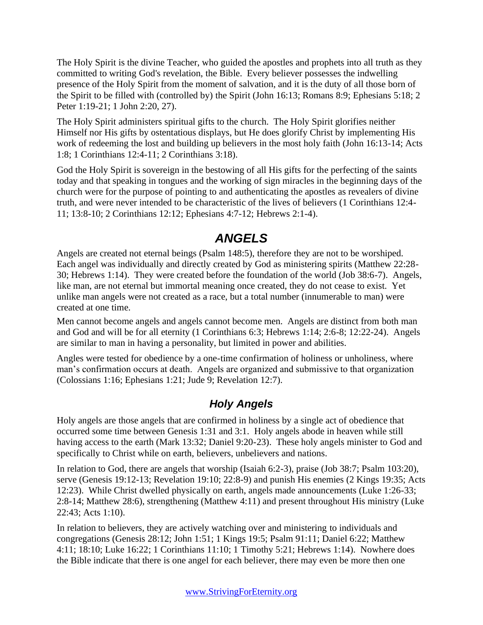The Holy Spirit is the divine Teacher, who guided the apostles and prophets into all truth as they committed to writing God's revelation, the Bible. Every believer possesses the indwelling presence of the Holy Spirit from the moment of salvation, and it is the duty of all those born of the Spirit to be filled with (controlled by) the Spirit (John 16:13; Romans 8:9; Ephesians 5:18; 2 Peter 1:19-21; 1 John 2:20, 27).

The Holy Spirit administers spiritual gifts to the church. The Holy Spirit glorifies neither Himself nor His gifts by ostentatious displays, but He does glorify Christ by implementing His work of redeeming the lost and building up believers in the most holy faith (John 16:13-14; Acts 1:8; 1 Corinthians 12:4-11; 2 Corinthians 3:18).

God the Holy Spirit is sovereign in the bestowing of all His gifts for the perfecting of the saints today and that speaking in tongues and the working of sign miracles in the beginning days of the church were for the purpose of pointing to and authenticating the apostles as revealers of divine truth, and were never intended to be characteristic of the lives of believers (1 Corinthians 12:4- 11; 13:8-10; 2 Corinthians 12:12; Ephesians 4:7-12; Hebrews 2:1-4).

# *ANGELS*

Angels are created not eternal beings (Psalm 148:5), therefore they are not to be worshiped. Each angel was individually and directly created by God as ministering spirits (Matthew 22:28- 30; Hebrews 1:14). They were created before the foundation of the world (Job 38:6-7). Angels, like man, are not eternal but immortal meaning once created, they do not cease to exist. Yet unlike man angels were not created as a race, but a total number (innumerable to man) were created at one time.

Men cannot become angels and angels cannot become men. Angels are distinct from both man and God and will be for all eternity (1 Corinthians 6:3; Hebrews 1:14; 2:6-8; 12:22-24). Angels are similar to man in having a personality, but limited in power and abilities.

Angles were tested for obedience by a one-time confirmation of holiness or unholiness, where man's confirmation occurs at death. Angels are organized and submissive to that organization (Colossians 1:16; Ephesians 1:21; Jude 9; Revelation 12:7).

## *Holy Angels*

Holy angels are those angels that are confirmed in holiness by a single act of obedience that occurred some time between Genesis 1:31 and 3:1. Holy angels abode in heaven while still having access to the earth (Mark 13:32; Daniel 9:20-23). These holy angels minister to God and specifically to Christ while on earth, believers, unbelievers and nations.

In relation to God, there are angels that worship (Isaiah 6:2-3), praise (Job 38:7; Psalm 103:20), serve (Genesis 19:12-13; Revelation 19:10; 22:8-9) and punish His enemies (2 Kings 19:35; Acts 12:23). While Christ dwelled physically on earth, angels made announcements (Luke 1:26-33; 2:8-14; Matthew 28:6), strengthening (Matthew 4:11) and present throughout His ministry (Luke 22:43; Acts 1:10).

In relation to believers, they are actively watching over and ministering to individuals and congregations (Genesis 28:12; John 1:51; 1 Kings 19:5; Psalm 91:11; Daniel 6:22; Matthew 4:11; 18:10; Luke 16:22; 1 Corinthians 11:10; 1 Timothy 5:21; Hebrews 1:14). Nowhere does the Bible indicate that there is one angel for each believer, there may even be more then one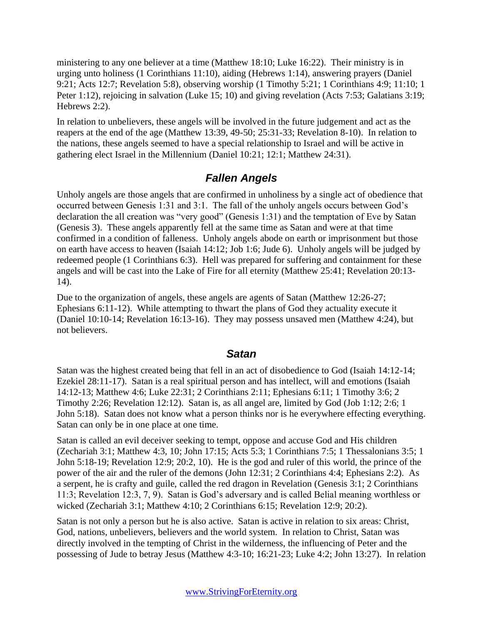ministering to any one believer at a time (Matthew 18:10; Luke 16:22). Their ministry is in urging unto holiness (1 Corinthians 11:10), aiding (Hebrews 1:14), answering prayers (Daniel 9:21; Acts 12:7; Revelation 5:8), observing worship (1 Timothy 5:21; 1 Corinthians 4:9; 11:10; 1 Peter 1:12), rejoicing in salvation (Luke 15; 10) and giving revelation (Acts 7:53; Galatians 3:19; Hebrews 2:2).

In relation to unbelievers, these angels will be involved in the future judgement and act as the reapers at the end of the age (Matthew 13:39, 49-50; 25:31-33; Revelation 8-10). In relation to the nations, these angels seemed to have a special relationship to Israel and will be active in gathering elect Israel in the Millennium (Daniel 10:21; 12:1; Matthew 24:31).

### *Fallen Angels*

Unholy angels are those angels that are confirmed in unholiness by a single act of obedience that occurred between Genesis 1:31 and 3:1. The fall of the unholy angels occurs between God's declaration the all creation was "very good" (Genesis 1:31) and the temptation of Eve by Satan (Genesis 3). These angels apparently fell at the same time as Satan and were at that time confirmed in a condition of falleness. Unholy angels abode on earth or imprisonment but those on earth have access to heaven (Isaiah 14:12; Job 1:6; Jude 6). Unholy angels will be judged by redeemed people (1 Corinthians 6:3). Hell was prepared for suffering and containment for these angels and will be cast into the Lake of Fire for all eternity (Matthew 25:41; Revelation 20:13- 14).

Due to the organization of angels, these angels are agents of Satan (Matthew 12:26-27; Ephesians 6:11-12). While attempting to thwart the plans of God they actuality execute it (Daniel 10:10-14; Revelation 16:13-16). They may possess unsaved men (Matthew 4:24), but not believers.

#### *Satan*

Satan was the highest created being that fell in an act of disobedience to God (Isaiah 14:12-14; Ezekiel 28:11-17). Satan is a real spiritual person and has intellect, will and emotions (Isaiah 14:12-13; Matthew 4:6; Luke 22:31; 2 Corinthians 2:11; Ephesians 6:11; 1 Timothy 3:6; 2 Timothy 2:26; Revelation 12:12). Satan is, as all angel are, limited by God (Job 1:12; 2:6; 1 John 5:18). Satan does not know what a person thinks nor is he everywhere effecting everything. Satan can only be in one place at one time.

Satan is called an evil deceiver seeking to tempt, oppose and accuse God and His children (Zechariah 3:1; Matthew 4:3, 10; John 17:15; Acts 5:3; 1 Corinthians 7:5; 1 Thessalonians 3:5; 1 John 5:18-19; Revelation 12:9; 20:2, 10). He is the god and ruler of this world, the prince of the power of the air and the ruler of the demons (John 12:31; 2 Corinthians 4:4; Ephesians 2:2). As a serpent, he is crafty and guile, called the red dragon in Revelation (Genesis 3:1; 2 Corinthians 11:3; Revelation 12:3, 7, 9). Satan is God's adversary and is called Belial meaning worthless or wicked (Zechariah 3:1; Matthew 4:10; 2 Corinthians 6:15; Revelation 12:9; 20:2).

Satan is not only a person but he is also active. Satan is active in relation to six areas: Christ, God, nations, unbelievers, believers and the world system. In relation to Christ, Satan was directly involved in the tempting of Christ in the wilderness, the influencing of Peter and the possessing of Jude to betray Jesus (Matthew 4:3-10; 16:21-23; Luke 4:2; John 13:27). In relation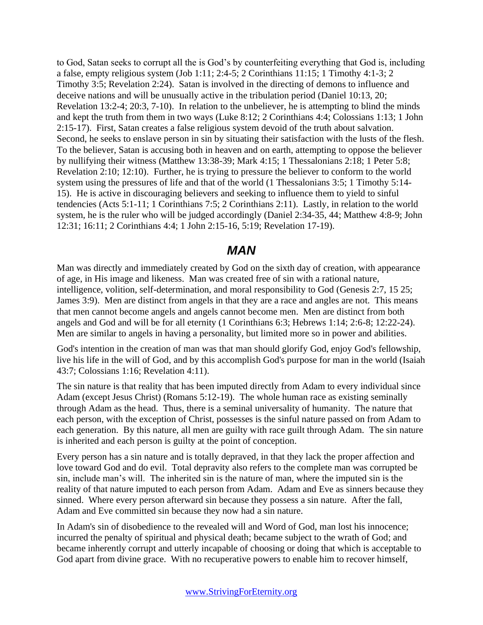to God, Satan seeks to corrupt all the is God's by counterfeiting everything that God is, including a false, empty religious system (Job 1:11; 2:4-5; 2 Corinthians 11:15; 1 Timothy 4:1-3; 2 Timothy 3:5; Revelation 2:24). Satan is involved in the directing of demons to influence and deceive nations and will be unusually active in the tribulation period (Daniel 10:13, 20; Revelation 13:2-4; 20:3, 7-10). In relation to the unbeliever, he is attempting to blind the minds and kept the truth from them in two ways (Luke 8:12; 2 Corinthians 4:4; Colossians 1:13; 1 John 2:15-17). First, Satan creates a false religious system devoid of the truth about salvation. Second, he seeks to enslave person in sin by situating their satisfaction with the lusts of the flesh. To the believer, Satan is accusing both in heaven and on earth, attempting to oppose the believer by nullifying their witness (Matthew 13:38-39; Mark 4:15; 1 Thessalonians 2:18; 1 Peter 5:8; Revelation 2:10; 12:10). Further, he is trying to pressure the believer to conform to the world system using the pressures of life and that of the world (1 Thessalonians 3:5; 1 Timothy 5:14- 15). He is active in discouraging believers and seeking to influence them to yield to sinful tendencies (Acts 5:1-11; 1 Corinthians 7:5; 2 Corinthians 2:11). Lastly, in relation to the world system, he is the ruler who will be judged accordingly (Daniel 2:34-35, 44; Matthew 4:8-9; John 12:31; 16:11; 2 Corinthians 4:4; 1 John 2:15-16, 5:19; Revelation 17-19).

## *MAN*

Man was directly and immediately created by God on the sixth day of creation, with appearance of age, in His image and likeness. Man was created free of sin with a rational nature, intelligence, volition, self-determination, and moral responsibility to God (Genesis 2:7, 15 25; James 3:9). Men are distinct from angels in that they are a race and angles are not. This means that men cannot become angels and angels cannot become men. Men are distinct from both angels and God and will be for all eternity (1 Corinthians 6:3; Hebrews 1:14; 2:6-8; 12:22-24). Men are similar to angels in having a personality, but limited more so in power and abilities.

God's intention in the creation of man was that man should glorify God, enjoy God's fellowship, live his life in the will of God, and by this accomplish God's purpose for man in the world (Isaiah 43:7; Colossians 1:16; Revelation 4:11).

The sin nature is that reality that has been imputed directly from Adam to every individual since Adam (except Jesus Christ) (Romans 5:12-19). The whole human race as existing seminally through Adam as the head. Thus, there is a seminal universality of humanity. The nature that each person, with the exception of Christ, possesses is the sinful nature passed on from Adam to each generation. By this nature, all men are guilty with race guilt through Adam. The sin nature is inherited and each person is guilty at the point of conception.

Every person has a sin nature and is totally depraved, in that they lack the proper affection and love toward God and do evil. Total depravity also refers to the complete man was corrupted be sin, include man's will. The inherited sin is the nature of man, where the imputed sin is the reality of that nature imputed to each person from Adam. Adam and Eve as sinners because they sinned. Where every person afterward sin because they possess a sin nature. After the fall, Adam and Eve committed sin because they now had a sin nature.

In Adam's sin of disobedience to the revealed will and Word of God, man lost his innocence; incurred the penalty of spiritual and physical death; became subject to the wrath of God; and became inherently corrupt and utterly incapable of choosing or doing that which is acceptable to God apart from divine grace. With no recuperative powers to enable him to recover himself,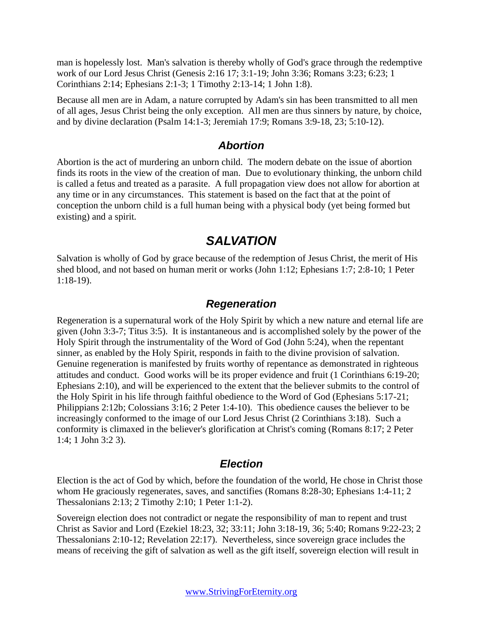man is hopelessly lost. Man's salvation is thereby wholly of God's grace through the redemptive work of our Lord Jesus Christ (Genesis 2:16 17; 3:1-19; John 3:36; Romans 3:23; 6:23; 1 Corinthians 2:14; Ephesians 2:1-3; 1 Timothy 2:13-14; 1 John 1:8).

Because all men are in Adam, a nature corrupted by Adam's sin has been transmitted to all men of all ages, Jesus Christ being the only exception. All men are thus sinners by nature, by choice, and by divine declaration (Psalm 14:1-3; Jeremiah 17:9; Romans 3:9-18, 23; 5:10-12).

#### *Abortion*

Abortion is the act of murdering an unborn child. The modern debate on the issue of abortion finds its roots in the view of the creation of man. Due to evolutionary thinking, the unborn child is called a fetus and treated as a parasite. A full propagation view does not allow for abortion at any time or in any circumstances. This statement is based on the fact that at the point of conception the unborn child is a full human being with a physical body (yet being formed but existing) and a spirit.

### *SALVATION*

Salvation is wholly of God by grace because of the redemption of Jesus Christ, the merit of His shed blood, and not based on human merit or works (John 1:12; Ephesians 1:7; 2:8-10; 1 Peter 1:18-19).

#### *Regeneration*

Regeneration is a supernatural work of the Holy Spirit by which a new nature and eternal life are given (John 3:3-7; Titus 3:5). It is instantaneous and is accomplished solely by the power of the Holy Spirit through the instrumentality of the Word of God (John 5:24), when the repentant sinner, as enabled by the Holy Spirit, responds in faith to the divine provision of salvation. Genuine regeneration is manifested by fruits worthy of repentance as demonstrated in righteous attitudes and conduct. Good works will be its proper evidence and fruit (1 Corinthians 6:19-20; Ephesians 2:10), and will be experienced to the extent that the believer submits to the control of the Holy Spirit in his life through faithful obedience to the Word of God (Ephesians 5:17-21; Philippians 2:12b; Colossians 3:16; 2 Peter 1:4-10). This obedience causes the believer to be increasingly conformed to the image of our Lord Jesus Christ (2 Corinthians 3:18). Such a conformity is climaxed in the believer's glorification at Christ's coming (Romans 8:17; 2 Peter 1:4; 1 John 3:2 3).

#### *Election*

Election is the act of God by which, before the foundation of the world, He chose in Christ those whom He graciously regenerates, saves, and sanctifies (Romans 8:28-30; Ephesians 1:4-11; 2 Thessalonians 2:13; 2 Timothy 2:10; 1 Peter 1:1-2).

Sovereign election does not contradict or negate the responsibility of man to repent and trust Christ as Savior and Lord (Ezekiel 18:23, 32; 33:11; John 3:18-19, 36; 5:40; Romans 9:22-23; 2 Thessalonians 2:10-12; Revelation 22:17). Nevertheless, since sovereign grace includes the means of receiving the gift of salvation as well as the gift itself, sovereign election will result in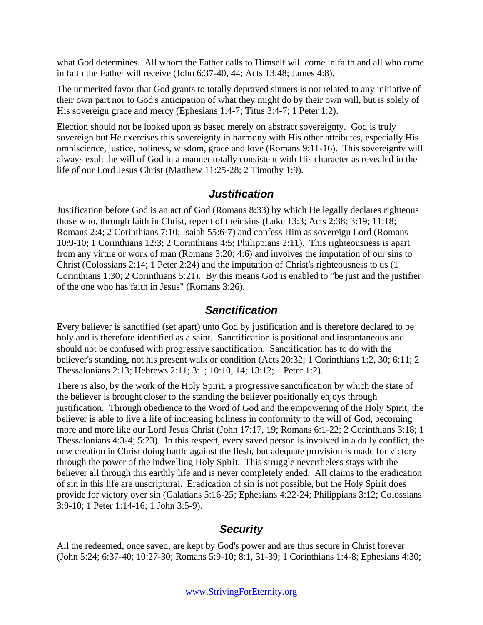what God determines. All whom the Father calls to Himself will come in faith and all who come in faith the Father will receive (John 6:37-40, 44; Acts 13:48; James 4:8).

The unmerited favor that God grants to totally depraved sinners is not related to any initiative of their own part nor to God's anticipation of what they might do by their own will, but is solely of His sovereign grace and mercy (Ephesians 1:4-7; Titus 3:4-7; 1 Peter 1:2).

Election should not be looked upon as based merely on abstract sovereignty. God is truly sovereign but He exercises this sovereignty in harmony with His other attributes, especially His omniscience, justice, holiness, wisdom, grace and love (Romans 9:11-16). This sovereignty will always exalt the will of God in a manner totally consistent with His character as revealed in the life of our Lord Jesus Christ (Matthew 11:25-28; 2 Timothy 1:9).

#### *Justification*

Justification before God is an act of God (Romans 8:33) by which He legally declares righteous those who, through faith in Christ, repent of their sins (Luke 13:3; Acts 2:38; 3:19; 11:18; Romans 2:4; 2 Corinthians 7:10; Isaiah 55:6-7) and confess Him as sovereign Lord (Romans 10:9-10; 1 Corinthians 12:3; 2 Corinthians 4:5; Philippians 2:11). This righteousness is apart from any virtue or work of man (Romans 3:20; 4:6) and involves the imputation of our sins to Christ (Colossians 2:14; 1 Peter 2:24) and the imputation of Christ's righteousness to us (1 Corinthians 1:30; 2 Corinthians 5:21). By this means God is enabled to "be just and the justifier of the one who has faith in Jesus" (Romans 3:26).

#### *Sanctification*

Every believer is sanctified (set apart) unto God by justification and is therefore declared to be holy and is therefore identified as a saint. Sanctification is positional and instantaneous and should not be confused with progressive sanctification. Sanctification has to do with the believer's standing, not his present walk or condition (Acts 20:32; 1 Corinthians 1:2, 30; 6:11; 2 Thessalonians 2:13; Hebrews 2:11; 3:1; 10:10, 14; 13:12; 1 Peter 1:2).

There is also, by the work of the Holy Spirit, a progressive sanctification by which the state of the believer is brought closer to the standing the believer positionally enjoys through justification. Through obedience to the Word of God and the empowering of the Holy Spirit, the believer is able to live a life of increasing holiness in conformity to the will of God, becoming more and more like our Lord Jesus Christ (John 17:17, 19; Romans 6:1-22; 2 Corinthians 3:18; 1 Thessalonians 4:3-4; 5:23). In this respect, every saved person is involved in a daily conflict, the new creation in Christ doing battle against the flesh, but adequate provision is made for victory through the power of the indwelling Holy Spirit. This struggle nevertheless stays with the believer all through this earthly life and is never completely ended. All claims to the eradication of sin in this life are unscriptural. Eradication of sin is not possible, but the Holy Spirit does provide for victory over sin (Galatians 5:16-25; Ephesians 4:22-24; Philippians 3:12; Colossians 3:9-10; 1 Peter 1:14-16; 1 John 3:5-9).

#### *Security*

All the redeemed, once saved, are kept by God's power and are thus secure in Christ forever (John 5:24; 6:37-40; 10:27-30; Romans 5:9-10; 8:1, 31-39; 1 Corinthians 1:4-8; Ephesians 4:30;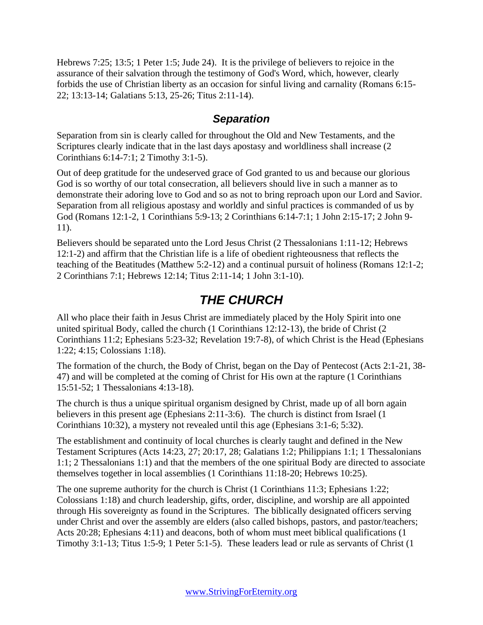Hebrews 7:25; 13:5; 1 Peter 1:5; Jude 24). It is the privilege of believers to rejoice in the assurance of their salvation through the testimony of God's Word, which, however, clearly forbids the use of Christian liberty as an occasion for sinful living and carnality (Romans 6:15- 22; 13:13-14; Galatians 5:13, 25-26; Titus 2:11-14).

#### *Separation*

Separation from sin is clearly called for throughout the Old and New Testaments, and the Scriptures clearly indicate that in the last days apostasy and worldliness shall increase (2 Corinthians 6:14-7:1; 2 Timothy 3:1-5).

Out of deep gratitude for the undeserved grace of God granted to us and because our glorious God is so worthy of our total consecration, all believers should live in such a manner as to demonstrate their adoring love to God and so as not to bring reproach upon our Lord and Savior. Separation from all religious apostasy and worldly and sinful practices is commanded of us by God (Romans 12:1-2, 1 Corinthians 5:9-13; 2 Corinthians 6:14-7:1; 1 John 2:15-17; 2 John 9- 11).

Believers should be separated unto the Lord Jesus Christ (2 Thessalonians 1:11-12; Hebrews 12:1-2) and affirm that the Christian life is a life of obedient righteousness that reflects the teaching of the Beatitudes (Matthew 5:2-12) and a continual pursuit of holiness (Romans 12:1-2; 2 Corinthians 7:1; Hebrews 12:14; Titus 2:11-14; 1 John 3:1-10).

## *THE CHURCH*

All who place their faith in Jesus Christ are immediately placed by the Holy Spirit into one united spiritual Body, called the church (1 Corinthians 12:12-13), the bride of Christ (2 Corinthians 11:2; Ephesians 5:23-32; Revelation 19:7-8), of which Christ is the Head (Ephesians 1:22; 4:15; Colossians 1:18).

The formation of the church, the Body of Christ, began on the Day of Pentecost (Acts 2:1-21, 38- 47) and will be completed at the coming of Christ for His own at the rapture (1 Corinthians 15:51-52; 1 Thessalonians 4:13-18).

The church is thus a unique spiritual organism designed by Christ, made up of all born again believers in this present age (Ephesians 2:11-3:6). The church is distinct from Israel (1 Corinthians 10:32), a mystery not revealed until this age (Ephesians 3:1-6; 5:32).

The establishment and continuity of local churches is clearly taught and defined in the New Testament Scriptures (Acts 14:23, 27; 20:17, 28; Galatians 1:2; Philippians 1:1; 1 Thessalonians 1:1; 2 Thessalonians 1:1) and that the members of the one spiritual Body are directed to associate themselves together in local assemblies (1 Corinthians 11:18-20; Hebrews 10:25).

The one supreme authority for the church is Christ (1 Corinthians 11:3; Ephesians 1:22; Colossians 1:18) and church leadership, gifts, order, discipline, and worship are all appointed through His sovereignty as found in the Scriptures. The biblically designated officers serving under Christ and over the assembly are elders (also called bishops, pastors, and pastor/teachers; Acts 20:28; Ephesians 4:11) and deacons, both of whom must meet biblical qualifications (1 Timothy 3:1-13; Titus 1:5-9; 1 Peter 5:1-5). These leaders lead or rule as servants of Christ (1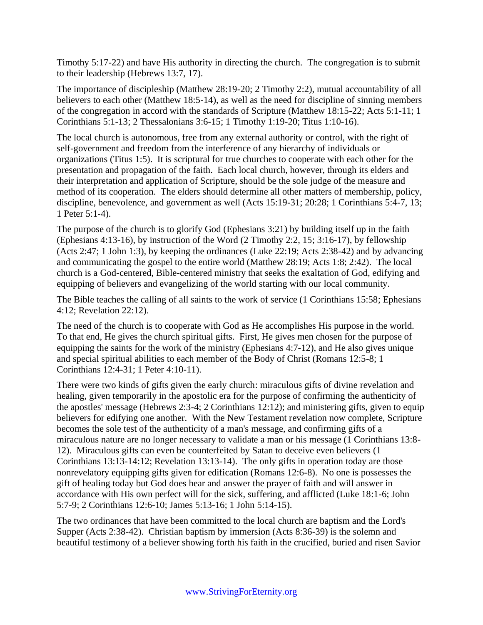Timothy 5:17-22) and have His authority in directing the church. The congregation is to submit to their leadership (Hebrews 13:7, 17).

The importance of discipleship (Matthew 28:19-20; 2 Timothy 2:2), mutual accountability of all believers to each other (Matthew 18:5-14), as well as the need for discipline of sinning members of the congregation in accord with the standards of Scripture (Matthew 18:15-22; Acts 5:1-11; 1 Corinthians 5:1-13; 2 Thessalonians 3:6-15; 1 Timothy 1:19-20; Titus 1:10-16).

The local church is autonomous, free from any external authority or control, with the right of self-government and freedom from the interference of any hierarchy of individuals or organizations (Titus 1:5). It is scriptural for true churches to cooperate with each other for the presentation and propagation of the faith. Each local church, however, through its elders and their interpretation and application of Scripture, should be the sole judge of the measure and method of its cooperation. The elders should determine all other matters of membership, policy, discipline, benevolence, and government as well (Acts 15:19-31; 20:28; 1 Corinthians 5:4-7, 13; 1 Peter 5:1-4).

The purpose of the church is to glorify God (Ephesians 3:21) by building itself up in the faith (Ephesians 4:13-16), by instruction of the Word (2 Timothy 2:2, 15; 3:16-17), by fellowship (Acts 2:47; 1 John 1:3), by keeping the ordinances (Luke 22:19; Acts 2:38-42) and by advancing and communicating the gospel to the entire world (Matthew 28:19; Acts 1:8; 2:42). The local church is a God-centered, Bible-centered ministry that seeks the exaltation of God, edifying and equipping of believers and evangelizing of the world starting with our local community.

The Bible teaches the calling of all saints to the work of service (1 Corinthians 15:58; Ephesians 4:12; Revelation 22:12).

The need of the church is to cooperate with God as He accomplishes His purpose in the world. To that end, He gives the church spiritual gifts. First, He gives men chosen for the purpose of equipping the saints for the work of the ministry (Ephesians 4:7-12), and He also gives unique and special spiritual abilities to each member of the Body of Christ (Romans 12:5-8; 1 Corinthians 12:4-31; 1 Peter 4:10-11).

There were two kinds of gifts given the early church: miraculous gifts of divine revelation and healing, given temporarily in the apostolic era for the purpose of confirming the authenticity of the apostles' message (Hebrews 2:3-4; 2 Corinthians 12:12); and ministering gifts, given to equip believers for edifying one another. With the New Testament revelation now complete, Scripture becomes the sole test of the authenticity of a man's message, and confirming gifts of a miraculous nature are no longer necessary to validate a man or his message (1 Corinthians 13:8- 12). Miraculous gifts can even be counterfeited by Satan to deceive even believers (1 Corinthians 13:13-14:12; Revelation 13:13-14). The only gifts in operation today are those nonrevelatory equipping gifts given for edification (Romans 12:6-8). No one is possesses the gift of healing today but God does hear and answer the prayer of faith and will answer in accordance with His own perfect will for the sick, suffering, and afflicted (Luke 18:1-6; John 5:7-9; 2 Corinthians 12:6-10; James 5:13-16; 1 John 5:14-15).

The two ordinances that have been committed to the local church are baptism and the Lord's Supper (Acts 2:38-42). Christian baptism by immersion (Acts 8:36-39) is the solemn and beautiful testimony of a believer showing forth his faith in the crucified, buried and risen Savior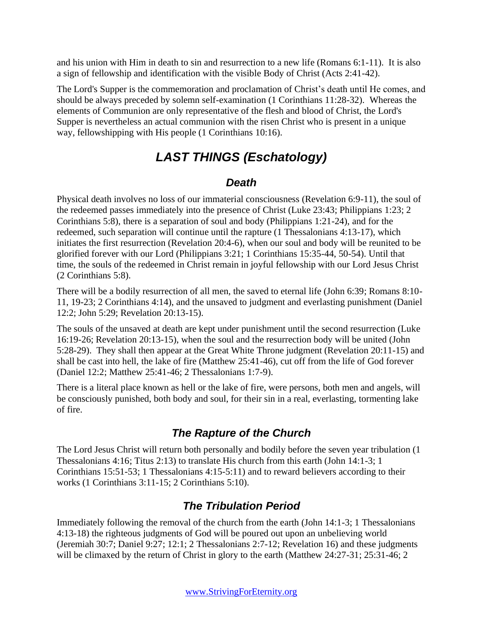and his union with Him in death to sin and resurrection to a new life (Romans 6:1-11). It is also a sign of fellowship and identification with the visible Body of Christ (Acts 2:41-42).

The Lord's Supper is the commemoration and proclamation of Christ's death until He comes, and should be always preceded by solemn self-examination (1 Corinthians 11:28-32). Whereas the elements of Communion are only representative of the flesh and blood of Christ, the Lord's Supper is nevertheless an actual communion with the risen Christ who is present in a unique way, fellowshipping with His people (1 Corinthians 10:16).

# *LAST THINGS (Eschatology)*

### *Death*

Physical death involves no loss of our immaterial consciousness (Revelation 6:9-11), the soul of the redeemed passes immediately into the presence of Christ (Luke 23:43; Philippians 1:23; 2 Corinthians 5:8), there is a separation of soul and body (Philippians 1:21-24), and for the redeemed, such separation will continue until the rapture (1 Thessalonians 4:13-17), which initiates the first resurrection (Revelation 20:4-6), when our soul and body will be reunited to be glorified forever with our Lord (Philippians 3:21; 1 Corinthians 15:35-44, 50-54). Until that time, the souls of the redeemed in Christ remain in joyful fellowship with our Lord Jesus Christ (2 Corinthians 5:8).

There will be a bodily resurrection of all men, the saved to eternal life (John 6:39; Romans 8:10- 11, 19-23; 2 Corinthians 4:14), and the unsaved to judgment and everlasting punishment (Daniel 12:2; John 5:29; Revelation 20:13-15).

The souls of the unsaved at death are kept under punishment until the second resurrection (Luke 16:19-26; Revelation 20:13-15), when the soul and the resurrection body will be united (John 5:28-29). They shall then appear at the Great White Throne judgment (Revelation 20:11-15) and shall be cast into hell, the lake of fire (Matthew 25:41-46), cut off from the life of God forever (Daniel 12:2; Matthew 25:41-46; 2 Thessalonians 1:7-9).

There is a literal place known as hell or the lake of fire, were persons, both men and angels, will be consciously punished, both body and soul, for their sin in a real, everlasting, tormenting lake of fire.

# *The Rapture of the Church*

The Lord Jesus Christ will return both personally and bodily before the seven year tribulation (1 Thessalonians 4:16; Titus 2:13) to translate His church from this earth (John 14:1-3; 1 Corinthians 15:51-53; 1 Thessalonians 4:15-5:11) and to reward believers according to their works (1 Corinthians 3:11-15; 2 Corinthians 5:10).

## *The Tribulation Period*

Immediately following the removal of the church from the earth (John 14:1-3; 1 Thessalonians 4:13-18) the righteous judgments of God will be poured out upon an unbelieving world (Jeremiah 30:7; Daniel 9:27; 12:1; 2 Thessalonians 2:7-12; Revelation 16) and these judgments will be climaxed by the return of Christ in glory to the earth (Matthew 24:27-31; 25:31-46; 2